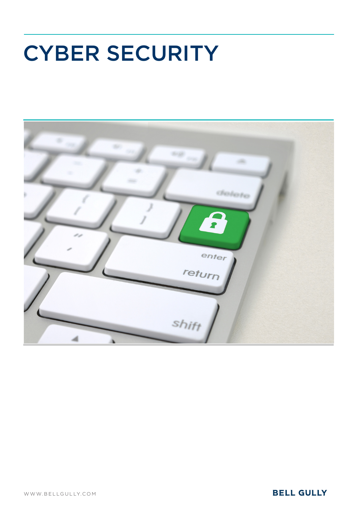# CYBER SECURITY



## **BELL GULLY**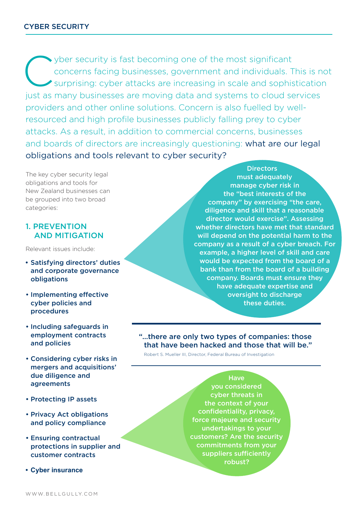wher security is fast becoming one of the most significant<br>concerns facing businesses, government and individuals. T<br>surprising: cyber attacks are increasing in scale and sophis concerns facing businesses, government and individuals. This is not surprising: cyber attacks are increasing in scale and sophistication just as many businesses are moving data and systems to cloud services providers and other online solutions. Concern is also fuelled by wellresourced and high profile businesses publicly falling prey to cyber attacks. As a result, in addition to commercial concerns, businesses and boards of directors are increasingly questioning: what are our legal obligations and tools relevant to cyber security?

The key cyber security legal obligations and tools for New Zealand businesses can be grouped into two broad categories:

#### 1. PREVENTION AND MITIGATION

Relevant issues include:

- **•** Satisfying directors' duties and corporate governance obligations
- • Implementing effective cyber policies and procedures
- Including safeguards in employment contracts and policies
- Considering cyber risks in mergers and acquisitions' due diligence and agreements
- Protecting IP assets
- Privacy Act obligations and policy compliance
- Ensuring contractual protections in supplier and customer contracts
- **• Cyber insurance**

**Directors** must adequately manage cyber risk in the "best interests of the company" by exercising "the care, diligence and skill that a reasonable director would exercise". Assessing whether directors have met that standard will depend on the potential harm to the company as a result of a cyber breach. For example, a higher level of skill and care would be expected from the board of a bank than from the board of a building company. Boards must ensure they have adequate expertise and oversight to discharge these duties.

"…there are only two types of companies: those that have been hacked and those that will be."

Robert S. Mueller III, Director, Federal Bureau of Investigation

**Have** you considered cyber threats in the context of your confidentiality, privacy, force majeure and security undertakings to your customers? Are the security commitments from your suppliers sufficiently robust?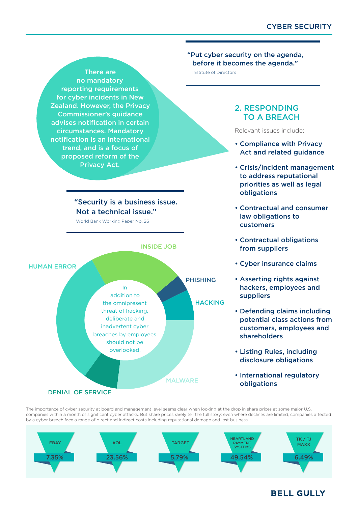**There are Institute of Directors** no mandatory reporting requirements for cyber incidents in New Zealand. However, the Privacy Commissioner's guidance advises notification in certain circumstances. Mandatory notification is an international trend, and is a focus of proposed reform of the Privacy Act.

#### "Security is a business issue. Not a technical issue."

World Bank Working Paper No. 26

## INSIDE JOB



#### "Put cyber security on the agenda, before it becomes the agenda."

#### 2. RESPONDING TO A BREACH

Relevant issues include:

- Compliance with Privacy Act and related guidance
- Crisis/incident management to address reputational priorities as well as legal obligations
- Contractual and consumer law obligations to customers
- Contractual obligations from suppliers
- Cyber insurance claims
- Asserting rights against hackers, employees and suppliers
- Defending claims including potential class actions from customers, employees and shareholders
- • Listing Rules, including disclosure obligations
- International regulatory obligations

The importance of cyber security at board and management level seems clear when looking at the drop in share prices at some major U.S. companies within a month of significant cyber attacks. But share prices rarely tell the full story: even where declines are limited, companies affected by a cyber breach face a range of direct and indirect costs including reputational damage and lost business.



### **BELL GULLY**